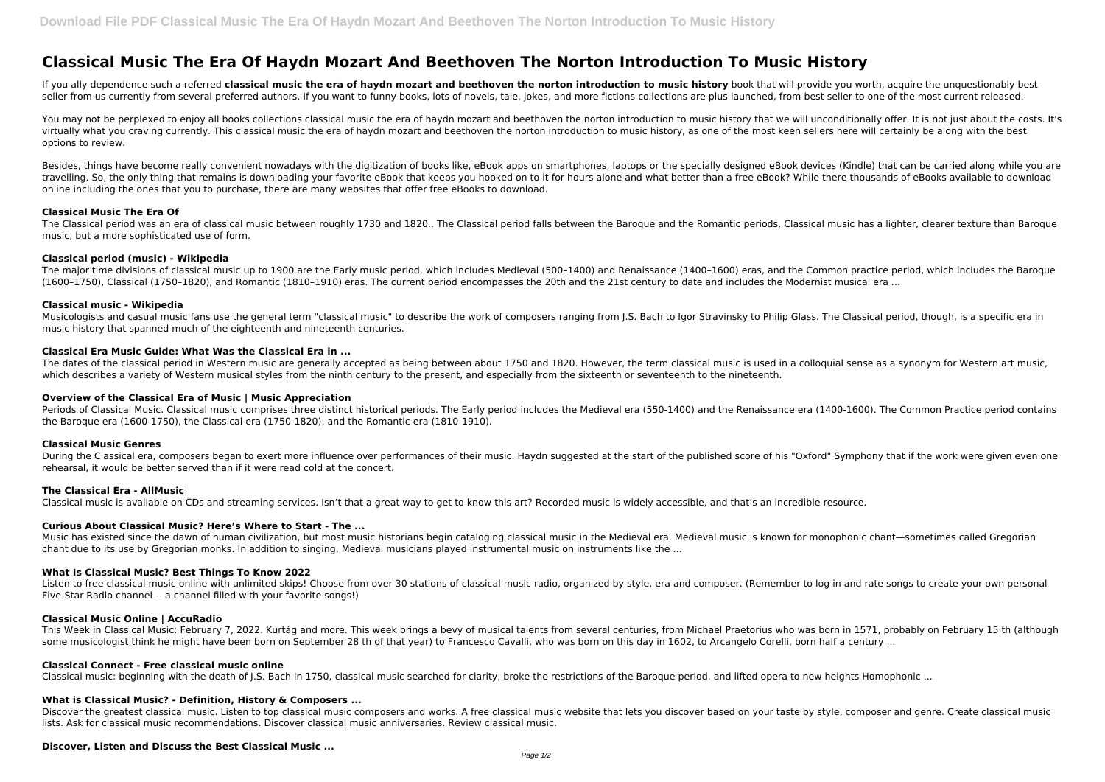# **Classical Music The Era Of Haydn Mozart And Beethoven The Norton Introduction To Music History**

If you ally dependence such a referred **classical music the era of haydn mozart and beethoven the norton introduction to music history book that will provide you worth, acquire the unquestionably best** seller from us currently from several preferred authors. If you want to funny books, lots of novels, tale, jokes, and more fictions collections are plus launched, from best seller to one of the most current released.

You may not be perplexed to enjoy all books collections classical music the era of haydn mozart and beethoven the norton introduction to music history that we will unconditionally offer. It is not just about the costs. It' virtually what you craving currently. This classical music the era of haydn mozart and beethoven the norton introduction to music history, as one of the most keen sellers here will certainly be along with the best options to review.

Besides, things have become really convenient nowadays with the digitization of books like, eBook apps on smartphones, laptops or the specially designed eBook devices (Kindle) that can be carried along while you are travelling. So, the only thing that remains is downloading your favorite eBook that keeps you hooked on to it for hours alone and what better than a free eBook? While there thousands of eBooks available to download online including the ones that you to purchase, there are many websites that offer free eBooks to download.

Musicologists and casual music fans use the general term "classical music" to describe the work of composers ranging from J.S. Bach to Igor Stravinsky to Philip Glass. The Classical period, though, is a specific era in music history that spanned much of the eighteenth and nineteenth centuries.

#### **Classical Music The Era Of**

Periods of Classical Music. Classical music comprises three distinct historical periods. The Early period includes the Medieval era (550-1400) and the Renaissance era (1400-1600). The Common Practice period contains the Baroque era (1600-1750), the Classical era (1750-1820), and the Romantic era (1810-1910).

The Classical period was an era of classical music between roughly 1730 and 1820.. The Classical period falls between the Baroque and the Romantic periods. Classical music has a lighter, clearer texture than Baroque music, but a more sophisticated use of form.

#### **Classical period (music) - Wikipedia**

The major time divisions of classical music up to 1900 are the Early music period, which includes Medieval (500–1400) and Renaissance (1400–1600) eras, and the Common practice period, which includes the Baroque (1600–1750), Classical (1750–1820), and Romantic (1810–1910) eras. The current period encompasses the 20th and the 21st century to date and includes the Modernist musical era ...

## **Classical music - Wikipedia**

Listen to free classical music online with unlimited skips! Choose from over 30 stations of classical music radio, organized by style, era and composer. (Remember to log in and rate songs to create your own personal Five-Star Radio channel -- a channel filled with your favorite songs!)

This Week in Classical Music: February 7, 2022. Kurtág and more. This week brings a bevy of musical talents from several centuries, from Michael Praetorius who was born in 1571, probably on February 15 th (although some musicologist think he might have been born on September 28 th of that year) to Francesco Cavalli, who was born on this day in 1602, to Arcangelo Corelli, born half a century ...

## **Classical Era Music Guide: What Was the Classical Era in ...**

Discover the greatest classical music. Listen to top classical music composers and works. A free classical music website that lets you discover based on your taste by style, composer and genre. Create classical music lists. Ask for classical music recommendations. Discover classical music anniversaries. Review classical music.

The dates of the classical period in Western music are generally accepted as being between about 1750 and 1820. However, the term classical music is used in a colloquial sense as a synonym for Western art music, which describes a variety of Western musical styles from the ninth century to the present, and especially from the sixteenth or seventeenth to the nineteenth.

# **Overview of the Classical Era of Music | Music Appreciation**

#### **Classical Music Genres**

During the Classical era, composers began to exert more influence over performances of their music. Haydn suggested at the start of the published score of his "Oxford" Symphony that if the work were given even one rehearsal, it would be better served than if it were read cold at the concert.

#### **The Classical Era - AllMusic**

Classical music is available on CDs and streaming services. Isn't that a great way to get to know this art? Recorded music is widely accessible, and that's an incredible resource.

# **Curious About Classical Music? Here's Where to Start - The ...**

Music has existed since the dawn of human civilization, but most music historians begin cataloging classical music in the Medieval era. Medieval music is known for monophonic chant—sometimes called Gregorian chant due to its use by Gregorian monks. In addition to singing, Medieval musicians played instrumental music on instruments like the ...

# **What Is Classical Music? Best Things To Know 2022**

## **Classical Music Online | AccuRadio**

#### **Classical Connect - Free classical music online**

Classical music: beginning with the death of I.S. Bach in 1750, classical music searched for clarity, broke the restrictions of the Baroque period, and lifted opera to new heights Homophonic ...

# **What is Classical Music? - Definition, History & Composers ...**

# **Discover, Listen and Discuss the Best Classical Music ...**